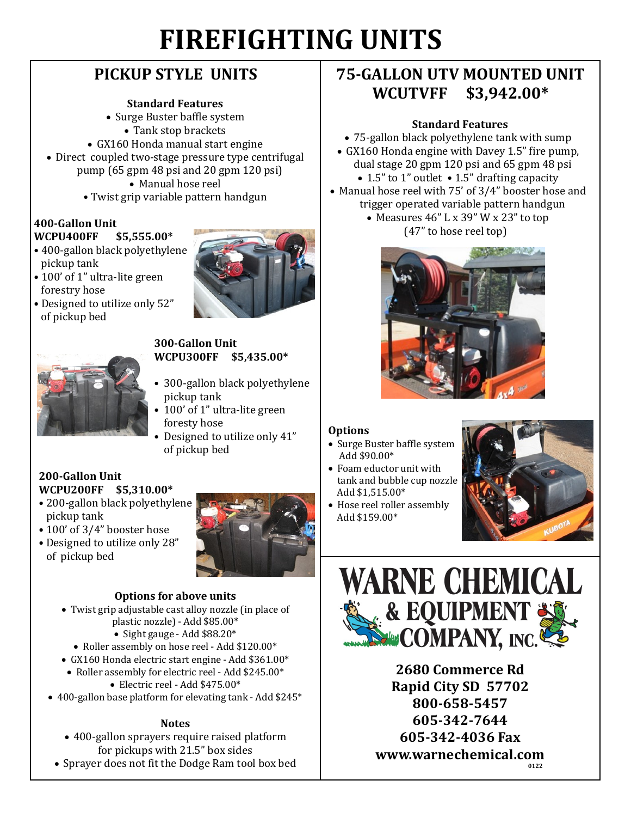# **FIREFIGHTING UNITS**

# **PICKUP STYLE UNITS**

#### **Standard Features**

- Surge Buster baffle system
- Tank stop brackets
- GX160 Honda manual start engine
- Direct coupled two-stage pressure type centrifugal pump (65 gpm 48 psi and 20 gpm 120 psi)
	- Manual hose reel
	- Twist grip variable pattern handgun

#### **400-Gallon Unit WCPU400FF \$5,555.00\***

- 400-gallon black polyethylene pickup tank
- 100' of 1" ultra-lite green forestry hose
- Designed to utilize only 52" of pickup bed





#### **300-Gallon Unit WCPU300FF \$5,435.00\***

- 300-gallon black polyethylene pickup tank
- 100' of 1" ultra-lite green foresty hose
- Designed to utilize only 41" of pickup bed

## **200-Gallon Unit WCPU200FF \$5,310.00\***

- 200-gallon black polyethylene pickup tank
- 100' of 3/4" booster hose
- Designed to utilize only 28" of pickup bed



#### **Options for above units**

- Twist grip adjustable cast alloy nozzle (in place of plastic nozzle) - Add \$85.00\*
	- $\bullet$  Sight gauge Add \$88.20\*
	- Roller assembly on hose reel Add \$120.00\*
- GX160 Honda electric start engine Add \$361.00\*
- Roller assembly for electric reel Add \$245.00\*
	- Electric reel Add \$475.00\*
- 400-gallon base platform for elevating tank Add \$245\*

### **Notes**

- 400-gallon sprayers require raised platform for pickups with 21.5" box sides
- Sprayer does not fit the Dodge Ram tool box bed

# **75-GALLON UTV MOUNTED UNIT WCUTVFF \$3,942.00\***

## **Standard Features**

- 75-gallon black polyethylene tank with sump
- GX160 Honda engine with Davey 1.5" fire pump, dual stage 20 gpm 120 psi and 65 gpm 48 psi
	- 1.5" to 1" outlet 1.5" drafting capacity
- Manual hose reel with 75' of 3/4" booster hose and
	- trigger operated variable pattern handgun Measures 46" L x 39" W x 23" to top (47" to hose reel top)



### **Options**

- Surge Buster baffle system Add \$90.00\*
- Foam eductor unit with tank and bubble cup nozzle Add \$1,515.00\*
- Hose reel roller assembly Add \$159.00\*





**2680 Commerce Rd Rapid City SD 57702 800-658-5457 605-342-7644 605-342-4036 Fax www.warnechemical.com 0122**